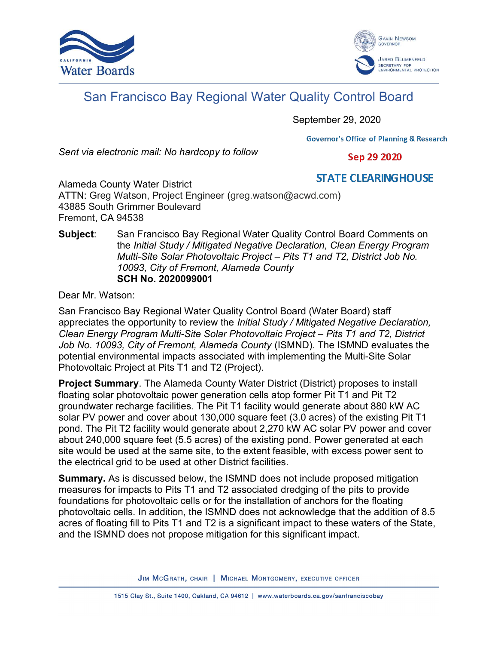



## San Francisco Bay Regional Water Quality Control Board

September 29, 2020

**Governor's Office of Planning & Research** 

Sent via electronic mail: No hardcopy to follow

Sep 29 2020

**STATE CLEARING HOUSE** Alameda County Water District ATTN: Greg Watson, Project Engineer (greg.watson@acwd.com) 43885 South Grimmer Boulevard Fremont, CA 94538

## Subject: San Francisco Bay Regional Water Quality Control Board Comments on the Initial Study / Mitigated Negative Declaration, Clean Energy Program Multi-Site Solar Photovoltaic Project – Pits T1 and T2, District Job No. 10093, City of Fremont, Alameda County SCH No. 2020099001

Dear Mr. Watson:

San Francisco Bay Regional Water Quality Control Board (Water Board) staff appreciates the opportunity to review the Initial Study / Mitigated Negative Declaration, Clean Energy Program Multi-Site Solar Photovoltaic Project – Pits T1 and T2, District Job No. 10093, City of Fremont, Alameda County (ISMND). The ISMND evaluates the potential environmental impacts associated with implementing the Multi-Site Solar Photovoltaic Project at Pits T1 and T2 (Project).

**Project Summary**. The Alameda County Water District (District) proposes to install floating solar photovoltaic power generation cells atop former Pit T1 and Pit T2 groundwater recharge facilities. The Pit T1 facility would generate about 880 kW AC solar PV power and cover about 130,000 square feet (3.0 acres) of the existing Pit T1 pond. The Pit T2 facility would generate about 2,270 kW AC solar PV power and cover about 240,000 square feet (5.5 acres) of the existing pond. Power generated at each site would be used at the same site, to the extent feasible, with excess power sent to the electrical grid to be used at other District facilities.

Summary. As is discussed below, the ISMND does not include proposed mitigation measures for impacts to Pits T1 and T2 associated dredging of the pits to provide foundations for photovoltaic cells or for the installation of anchors for the floating photovoltaic cells. In addition, the ISMND does not acknowledge that the addition of 8.5 acres of floating fill to Pits T1 and T2 is a significant impact to these waters of the State, and the ISMND does not propose mitigation for this significant impact.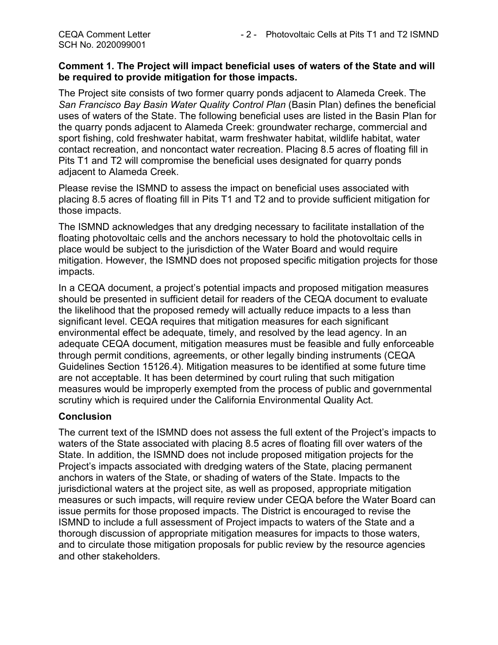## Comment 1. The Project will impact beneficial uses of waters of the State and will be required to provide mitigation for those impacts.

The Project site consists of two former quarry ponds adjacent to Alameda Creek. The San Francisco Bay Basin Water Quality Control Plan (Basin Plan) defines the beneficial uses of waters of the State. The following beneficial uses are listed in the Basin Plan for the quarry ponds adjacent to Alameda Creek: groundwater recharge, commercial and sport fishing, cold freshwater habitat, warm freshwater habitat, wildlife habitat, water contact recreation, and noncontact water recreation. Placing 8.5 acres of floating fill in Pits T1 and T2 will compromise the beneficial uses designated for quarry ponds adjacent to Alameda Creek.

Please revise the ISMND to assess the impact on beneficial uses associated with placing 8.5 acres of floating fill in Pits T1 and T2 and to provide sufficient mitigation for those impacts.

The ISMND acknowledges that any dredging necessary to facilitate installation of the floating photovoltaic cells and the anchors necessary to hold the photovoltaic cells in place would be subject to the jurisdiction of the Water Board and would require mitigation. However, the ISMND does not proposed specific mitigation projects for those impacts.

In a CEQA document, a project's potential impacts and proposed mitigation measures should be presented in sufficient detail for readers of the CEQA document to evaluate the likelihood that the proposed remedy will actually reduce impacts to a less than significant level. CEQA requires that mitigation measures for each significant environmental effect be adequate, timely, and resolved by the lead agency. In an adequate CEQA document, mitigation measures must be feasible and fully enforceable through permit conditions, agreements, or other legally binding instruments (CEQA Guidelines Section 15126.4). Mitigation measures to be identified at some future time are not acceptable. It has been determined by court ruling that such mitigation measures would be improperly exempted from the process of public and governmental scrutiny which is required under the California Environmental Quality Act.

## Conclusion

The current text of the ISMND does not assess the full extent of the Project's impacts to waters of the State associated with placing 8.5 acres of floating fill over waters of the State. In addition, the ISMND does not include proposed mitigation projects for the Project's impacts associated with dredging waters of the State, placing permanent anchors in waters of the State, or shading of waters of the State. Impacts to the jurisdictional waters at the project site, as well as proposed, appropriate mitigation measures or such impacts, will require review under CEQA before the Water Board can issue permits for those proposed impacts. The District is encouraged to revise the ISMND to include a full assessment of Project impacts to waters of the State and a thorough discussion of appropriate mitigation measures for impacts to those waters, and to circulate those mitigation proposals for public review by the resource agencies and other stakeholders.